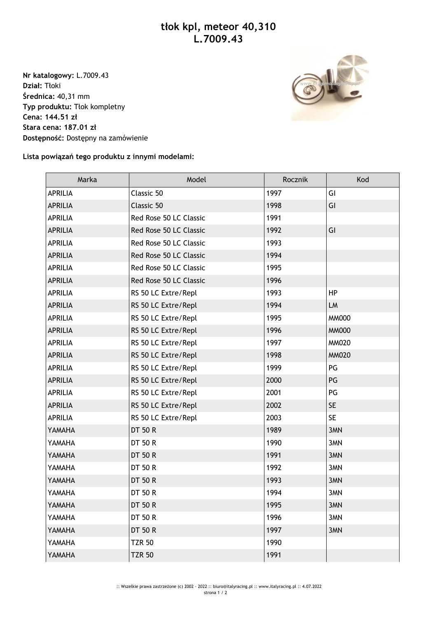**Nr katalogowy:** L.7009.43 **Dział:** Tłoki **Średnica:** 40,31 mm **Typ produktu:** Tłok kompletny **Cena: 144.51 zł Stara cena: 187.01 zł Dostępność:** Dostępny na zamówienie



## **Lista powiązań tego produktu z innymi modelami:**

| Marka          | Model                  | Rocznik | Kod          |
|----------------|------------------------|---------|--------------|
| <b>APRILIA</b> | Classic 50             | 1997    | GI           |
| <b>APRILIA</b> | Classic 50             | 1998    | GI           |
| <b>APRILIA</b> | Red Rose 50 LC Classic | 1991    |              |
| <b>APRILIA</b> | Red Rose 50 LC Classic | 1992    | GI           |
| <b>APRILIA</b> | Red Rose 50 LC Classic | 1993    |              |
| <b>APRILIA</b> | Red Rose 50 LC Classic | 1994    |              |
| <b>APRILIA</b> | Red Rose 50 LC Classic | 1995    |              |
| <b>APRILIA</b> | Red Rose 50 LC Classic | 1996    |              |
| <b>APRILIA</b> | RS 50 LC Extre/Repl    | 1993    | HP           |
| <b>APRILIA</b> | RS 50 LC Extre/Repl    | 1994    | LM           |
| <b>APRILIA</b> | RS 50 LC Extre/Repl    | 1995    | <b>MM000</b> |
| <b>APRILIA</b> | RS 50 LC Extre/Repl    | 1996    | <b>MM000</b> |
| <b>APRILIA</b> | RS 50 LC Extre/Repl    | 1997    | <b>MM020</b> |
| <b>APRILIA</b> | RS 50 LC Extre/Repl    | 1998    | <b>MM020</b> |
| <b>APRILIA</b> | RS 50 LC Extre/Repl    | 1999    | PG           |
| <b>APRILIA</b> | RS 50 LC Extre/Repl    | 2000    | PG           |
| <b>APRILIA</b> | RS 50 LC Extre/Repl    | 2001    | PG           |
| <b>APRILIA</b> | RS 50 LC Extre/Repl    | 2002    | <b>SE</b>    |
| <b>APRILIA</b> | RS 50 LC Extre/Repl    | 2003    | <b>SE</b>    |
| YAMAHA         | <b>DT 50 R</b>         | 1989    | 3MN          |
| YAMAHA         | DT 50 R                | 1990    | 3MN          |
| YAMAHA         | <b>DT 50 R</b>         | 1991    | 3MN          |
| YAMAHA         | DT 50 R                | 1992    | 3MN          |
| YAMAHA         | <b>DT 50 R</b>         | 1993    | 3MN          |
| YAMAHA         | <b>DT 50 R</b>         | 1994    | 3MN          |
| YAMAHA         | DT 50 R                | 1995    | 3MN          |
| YAMAHA         | DT 50 R                | 1996    | 3MN          |
| YAMAHA         | <b>DT 50 R</b>         | 1997    | 3MN          |
| YAMAHA         | <b>TZR 50</b>          | 1990    |              |
| YAMAHA         | <b>TZR 50</b>          | 1991    |              |